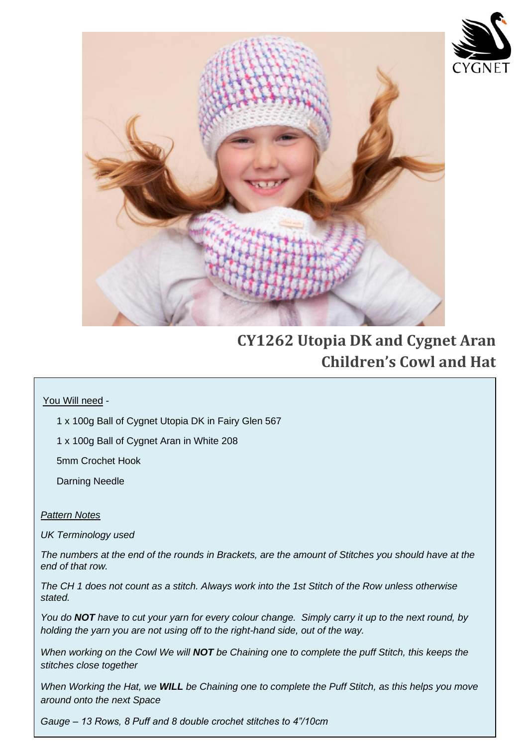

 $\overline{\phantom{a}}$ 

 $\overline{\phantom{a}}$ 

 $\overline{\phantom{a}}$ 

 $\overline{\phantom{a}}$ 

 $\overline{\phantom{a}}$ 

 $\overline{\phantom{a}}$ 

 $\overline{\phantom{a}}$ 

 $\overline{\phantom{a}}$ 

 $\overline{\phantom{a}}$ 

 $\overline{\phantom{a}}$ 

 $\overline{\phantom{a}}$ 

 $\overline{\phantom{a}}$ 

 $\overline{\phantom{a}}$ 

 $\overline{\phantom{a}}$ 

 $\overline{\phantom{a}}$ 



# **CY1262 Utopia DK and Cygnet Aran Children's Cowl and Hat**

### You Will need -

1 x 100g Ball of Cygnet Utopia DK in Fairy Glen 567

1 x 100g Ball of Cygnet Aran in White 208

5mm Crochet Hook

Darning Needle

#### *Pattern Notes*

*UK Terminology used* 

*The numbers at the end of the rounds in Brackets, are the amount of Stitches you should have at the end of that row.*

*The CH 1 does not count as a stitch. Always work into the 1st Stitch of the Row unless otherwise stated.*

*You do NOT have to cut your yarn for every colour change. Simply carry it up to the next round, by holding the yarn you are not using off to the right-hand side, out of the way.* 

*When working on the Cowl We will NOT be Chaining one to complete the puff Stitch, this keeps the stitches close together* 

*When Working the Hat, we WILL be Chaining one to complete the Puff Stitch, as this helps you move around onto the next Space*

*Gauge – 13 Rows, 8 Puff and 8 double crochet stitches to 4"/10cm*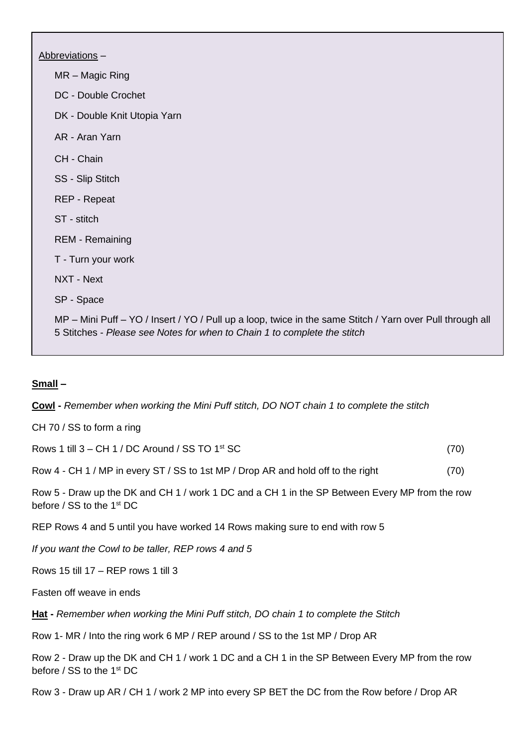Abbreviations – MR – Magic Ring DC - Double Crochet DK - Double Knit Utopia Yarn AR - Aran Yarn CH - Chain SS - Slip Stitch REP - Repeat ST - stitch REM - Remaining T - Turn your work NXT - Next SP - Space MP – Mini Puff – YO / Insert / YO / Pull up a loop, twice in the same Stitch / Yarn over Pull through all 5 Stitches - *Please see Notes for when to Chain 1 to complete the stitch*

I

#### **Small –**

**Cowl -** *Remember when working the Mini Puff stitch, DO NOT chain 1 to complete the stitch*

CH 70 / SS to form a ring

Rows 1 till  $3 - CH$  1 / DC Around / SS TO 1<sup>st</sup> SC (70)

Row 4 - CH 1 / MP in every ST / SS to 1st MP / Drop AR and hold off to the right (70)

Row 5 - Draw up the DK and CH 1 / work 1 DC and a CH 1 in the SP Between Every MP from the row before / SS to the 1<sup>st</sup> DC

REP Rows 4 and 5 until you have worked 14 Rows making sure to end with row 5

*If you want the Cowl to be taller, REP rows 4 and 5* 

Rows 15 till 17 – REP rows 1 till 3

Fasten off weave in ends

**Hat -** *Remember when working the Mini Puff stitch, DO chain 1 to complete the Stitch*

Row 1- MR / Into the ring work 6 MP / REP around / SS to the 1st MP / Drop AR

Row 2 - Draw up the DK and CH 1 / work 1 DC and a CH 1 in the SP Between Every MP from the row before / SS to the 1st DC

Row 3 - Draw up AR / CH 1 / work 2 MP into every SP BET the DC from the Row before / Drop AR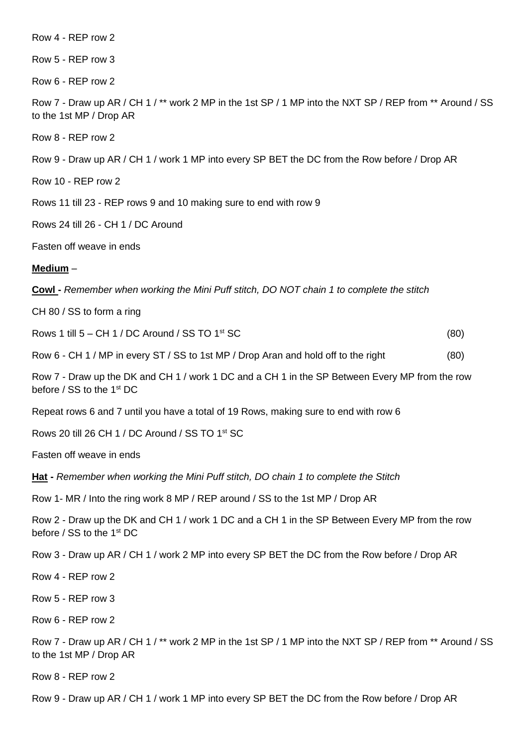| Row 4 - REP row 2 |  |
|-------------------|--|
|-------------------|--|

Row 5 - REP row 3

Row 6 - REP row 2

Row 7 - Draw up AR / CH 1 / \*\* work 2 MP in the 1st SP / 1 MP into the NXT SP / REP from \*\* Around / SS to the 1st MP / Drop AR

Row 8 - REP row 2

Row 9 - Draw up AR / CH 1 / work 1 MP into every SP BET the DC from the Row before / Drop AR

Row 10 - REP row 2

Rows 11 till 23 - REP rows 9 and 10 making sure to end with row 9

Rows 24 till 26 - CH 1 / DC Around

Fasten off weave in ends

#### **Medium** –

**Cowl -** *Remember when working the Mini Puff stitch, DO NOT chain 1 to complete the stitch*

CH 80 / SS to form a ring

Rows 1 till  $5 - CH$  1 / DC Around / SS TO 1<sup>st</sup> SC  $(80)$ 

Row 6 - CH 1 / MP in every ST / SS to 1st MP / Drop Aran and hold off to the right (80)

Row 7 - Draw up the DK and CH 1 / work 1 DC and a CH 1 in the SP Between Every MP from the row before / SS to the 1st DC

Repeat rows 6 and 7 until you have a total of 19 Rows, making sure to end with row 6

Rows 20 till 26 CH 1 / DC Around / SS TO 1st SC

Fasten off weave in ends

**Hat -** *Remember when working the Mini Puff stitch, DO chain 1 to complete the Stitch*

Row 1- MR / Into the ring work 8 MP / REP around / SS to the 1st MP / Drop AR

Row 2 - Draw up the DK and CH 1 / work 1 DC and a CH 1 in the SP Between Every MP from the row before / SS to the 1st DC

Row 3 - Draw up AR / CH 1 / work 2 MP into every SP BET the DC from the Row before / Drop AR

Row 4 - REP row 2

Row 5 - REP row 3

Row 6 - REP row 2

Row 7 - Draw up AR / CH 1 / \*\* work 2 MP in the 1st SP / 1 MP into the NXT SP / REP from \*\* Around / SS to the 1st MP / Drop AR

Row 8 - REP row 2

Row 9 - Draw up AR / CH 1 / work 1 MP into every SP BET the DC from the Row before / Drop AR